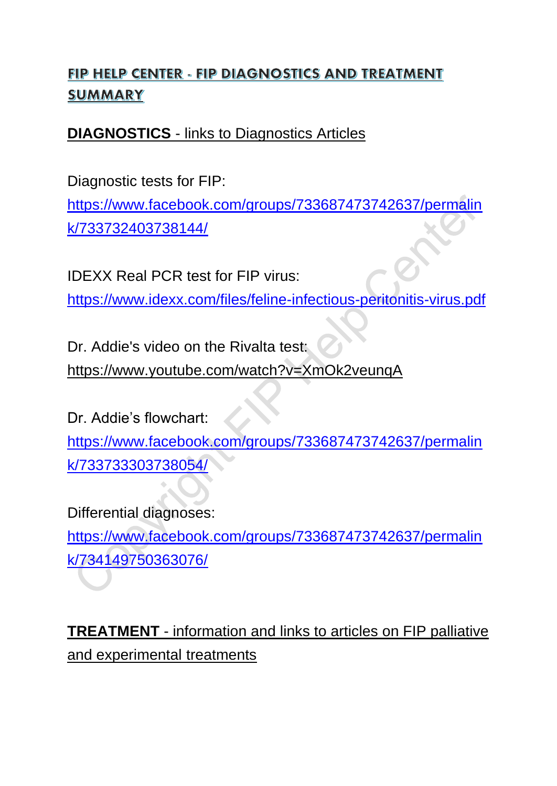# FIP HELP CENTER - FIP DIAGNOSTICS AND TREATMENT SUMMARY

## **DIAGNOSTICS** - links to Diagnostics Articles

Diagnostic tests for FIP:

[https://www.facebook.com/groups/733687473742637/permalin](https://www.facebook.com/groups/733687473742637/permalink/733732403738144/) [k/733732403738144/](https://www.facebook.com/groups/733687473742637/permalink/733732403738144/)

IDEXX Real PCR test for FIP virus:

<https://www.idexx.com/files/feline-infectious-peritonitis-virus.pdf>

Dr. Addie's video on the Rivalta test: <https://www.youtube.com/watch?v=XmOk2veunqA>

Dr. Addie's flowchart: [https://www.facebook.com/groups/733687473742637/permalin](https://www.facebook.com/groups/733687473742637/permalink/733733303738054/) [k/733733303738054/](https://www.facebook.com/groups/733687473742637/permalink/733733303738054/)

Differential diagnoses:

[https://www.facebook.com/groups/733687473742637/permalin](https://www.facebook.com/groups/733687473742637/permalink/734149750363076/) [k/734149750363076/](https://www.facebook.com/groups/733687473742637/permalink/734149750363076/)

**TREATMENT** - information and links to articles on FIP palliative and experimental treatments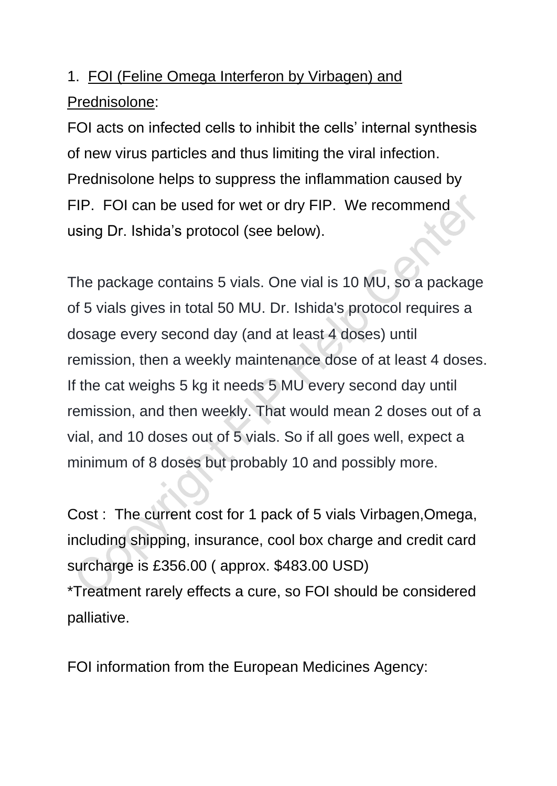# 1. FOI (Feline Omega Interferon by Virbagen) and Prednisolone:

FOI acts on infected cells to inhibit the cells' internal synthesis of new virus particles and thus limiting the viral infection. Prednisolone helps to suppress the inflammation caused by FIP. FOI can be used for wet or dry FIP. We recommend using Dr. Ishida's protocol (see below).

The package contains 5 vials. One vial is 10 MU, so a package of 5 vials gives in total 50 MU. Dr. Ishida's protocol requires a dosage every second day (and at least 4 doses) until remission, then a weekly maintenance dose of at least 4 doses. If the cat weighs 5 kg it needs 5 MU every second day until remission, and then weekly. That would mean 2 doses out of a vial, and 10 doses out of 5 vials. So if all goes well, expect a minimum of 8 doses but probably 10 and possibly more.

Cost : The current cost for 1 pack of 5 vials Virbagen,Omega, including shipping, insurance, cool box charge and credit card surcharge is £356.00 ( approx. \$483.00 USD)

\*Treatment rarely effects a cure, so FOI should be considered palliative.

FOI information from the European Medicines Agency: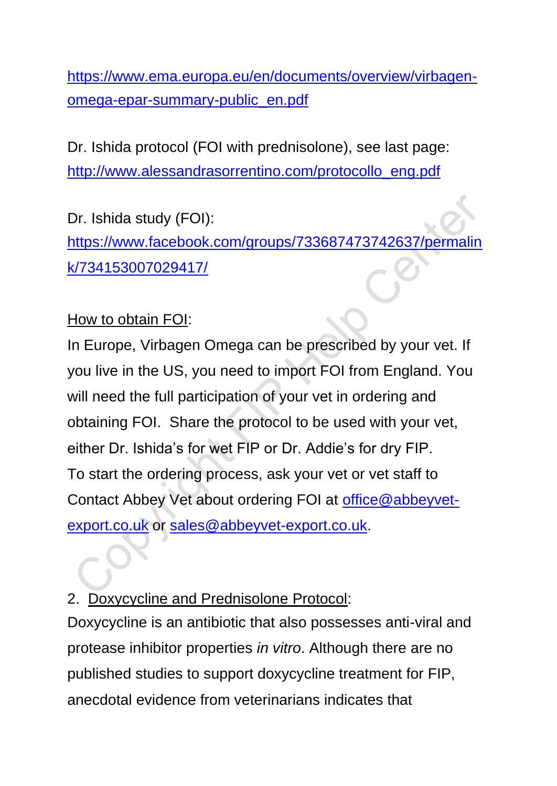[https://www.ema.europa.eu/en/documents/overview/virbagen](https://www.ema.europa.eu/en/documents/overview/virbagen-omega-epar-summary-public_en.pdf)[omega-epar-summary-public\\_en.pdf](https://www.ema.europa.eu/en/documents/overview/virbagen-omega-epar-summary-public_en.pdf)

Dr. Ishida protocol (FOI with prednisolone), see last page: [http://www.alessandrasorrentino.com/protocollo\\_eng.pdf](http://www.alessandrasorrentino.com/protocollo_eng.pdf)

Dr. Ishida study (FOI): [https://www.facebook.com/groups/733687473742637/permalin](https://www.facebook.com/groups/733687473742637/permalink/734153007029417/) [k/734153007029417/](https://www.facebook.com/groups/733687473742637/permalink/734153007029417/)

## How to obtain FOI:

In Europe, Virbagen Omega can be prescribed by your vet. If you live in the US, you need to import FOI from England. You will need the full participation of your vet in ordering and obtaining FOI. Share the protocol to be used with your vet, either Dr. Ishida's for wet FIP or Dr. Addie's for dry FIP. To start the ordering process, ask your vet or vet staff to Contact Abbey Vet about ordering FOI at [office@abbeyvet](mailto:office@abbeyvet-export.co.uk)[export.co.uk](mailto:office@abbeyvet-export.co.uk) or [sales@abbeyvet-export.co.uk.](mailto:sales@abbeyvet-export.co.uk)

# 2. Doxycycline and Prednisolone Protocol:

Doxycycline is an antibiotic that also possesses anti-viral and protease inhibitor properties *in vitro*. Although there are no published studies to support doxycycline treatment for FIP, anecdotal evidence from veterinarians indicates that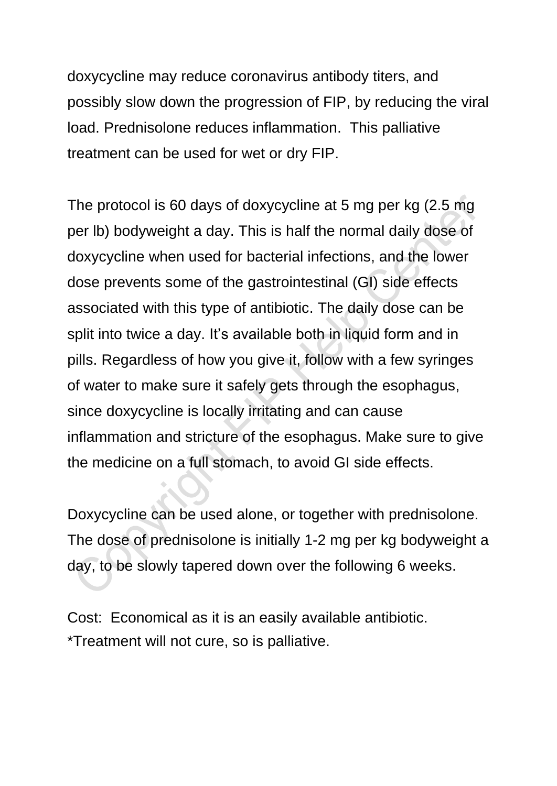doxycycline may reduce coronavirus antibody titers, and possibly slow down the progression of FIP, by reducing the viral load. Prednisolone reduces inflammation. This palliative treatment can be used for wet or dry FIP.

The protocol is 60 days of doxycycline at 5 mg per kg (2.5 mg per lb) bodyweight a day. This is half the normal daily dose of doxycycline when used for bacterial infections, and the lower dose prevents some of the gastrointestinal (GI) side effects associated with this type of antibiotic. The daily dose can be split into twice a day. It's available both in liquid form and in pills. Regardless of how you give it, follow with a few syringes of water to make sure it safely gets through the esophagus, since doxycycline is locally irritating and can cause inflammation and stricture of the esophagus. Make sure to give the medicine on a full stomach, to avoid GI side effects.

Doxycycline can be used alone, or together with prednisolone. The dose of prednisolone is initially 1-2 mg per kg bodyweight a day, to be slowly tapered down over the following 6 weeks.

Cost: Economical as it is an easily available antibiotic. \*Treatment will not cure, so is palliative.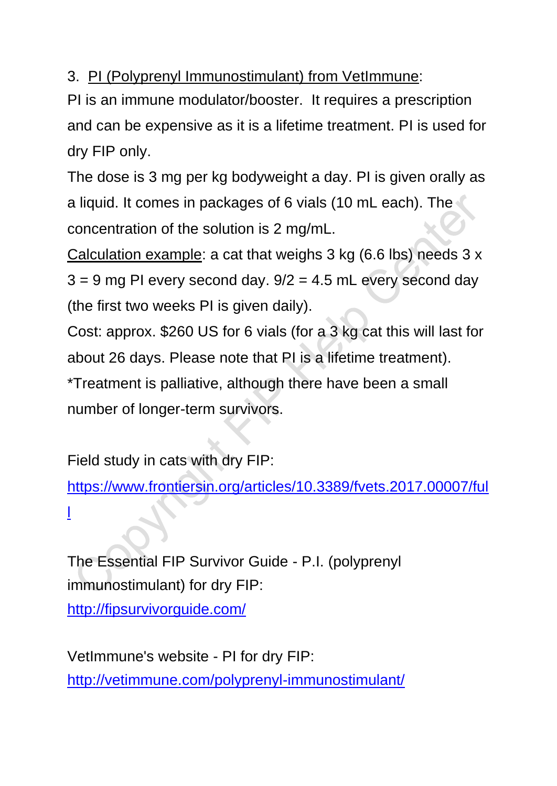3. PI (Polyprenyl Immunostimulant) from VetImmune:

PI is an immune modulator/booster. It requires a prescription and can be expensive as it is a lifetime treatment. PI is used for dry FIP only.

The dose is 3 mg per kg bodyweight a day. PI is given orally as a liquid. It comes in packages of 6 vials (10 mL each). The concentration of the solution is 2 mg/mL.

Calculation example: a cat that weighs 3 kg (6.6 lbs) needs 3 x  $3 = 9$  mg PI every second day.  $9/2 = 4.5$  mL every second day (the first two weeks PI is given daily).

Cost: approx. \$260 US for 6 vials (for a 3 kg cat this will last for about 26 days. Please note that PI is a lifetime treatment). \*Treatment is palliative, although there have been a small number of longer-term survivors.

Field study in cats with dry FIP:

[https://www.frontiersin.org/articles/10.3389/fvets.2017.00007/ful](https://www.frontiersin.org/articles/10.3389/fvets.2017.00007/full) [l](https://www.frontiersin.org/articles/10.3389/fvets.2017.00007/full)

The Essential FIP Survivor Guide - P.I. (polyprenyl immunostimulant) for dry FIP: <http://fipsurvivorguide.com/>

VetImmune's website - PI for dry FIP: <http://vetimmune.com/polyprenyl-immunostimulant/>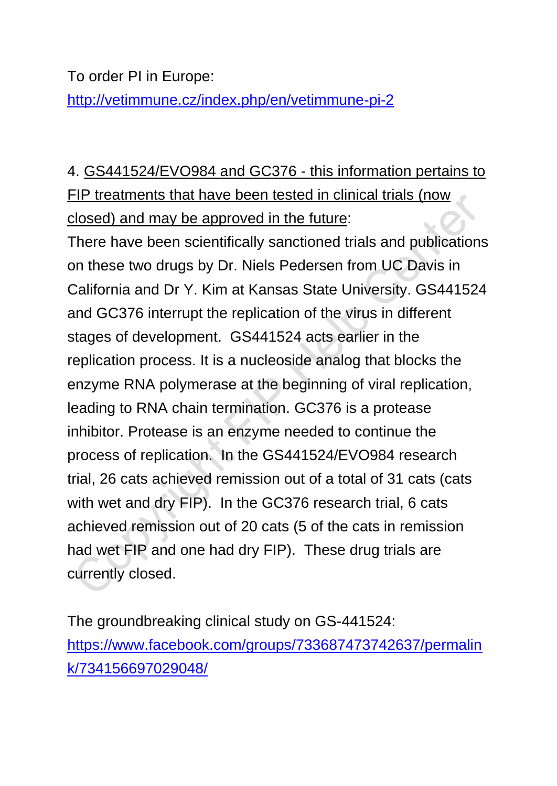To order PI in Europe:

<http://vetimmune.cz/index.php/en/vetimmune-pi-2>

4. GS441524/EVO984 and GC376 - this information pertains to FIP treatments that have been tested in clinical trials (now closed) and may be approved in the future:

There have been scientifically sanctioned trials and publications on these two drugs by Dr. Niels Pedersen from UC Davis in California and Dr Y. Kim at Kansas State University. GS441524 and GC376 interrupt the replication of the virus in different stages of development. GS441524 acts earlier in the replication process. It is a nucleoside analog that blocks the enzyme RNA polymerase at the beginning of viral replication, leading to RNA chain termination. GC376 is a protease inhibitor. Protease is an enzyme needed to continue the process of replication. In the GS441524/EVO984 research trial, 26 cats achieved remission out of a total of 31 cats (cats with wet and dry FIP). In the GC376 research trial, 6 cats achieved remission out of 20 cats (5 of the cats in remission had wet FIP and one had dry FIP). These drug trials are currently closed.

The groundbreaking clinical study on GS-441524: [https://www.facebook.com/groups/733687473742637/permalin](https://www.facebook.com/groups/733687473742637/permalink/734156697029048/) [k/734156697029048/](https://www.facebook.com/groups/733687473742637/permalink/734156697029048/)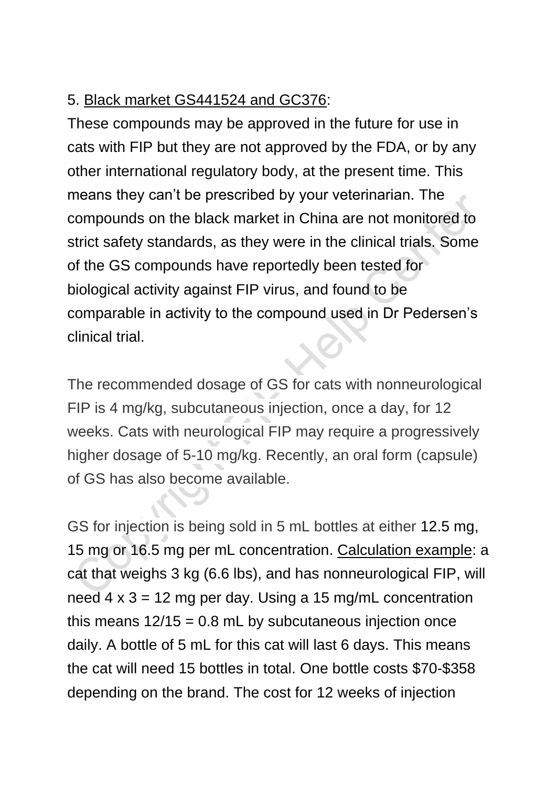## 5. Black market GS441524 and GC376:

These compounds may be approved in the future for use in cats with FIP but they are not approved by the FDA, or by any other international regulatory body, at the present time. This means they can't be prescribed by your veterinarian. The compounds on the black market in China are not monitored to strict safety standards, as they were in the clinical trials. Some of the GS compounds have reportedly been tested for biological activity against FIP virus, and found to be comparable in activity to the compound used in Dr Pedersen's clinical trial.

The recommended dosage of GS for cats with nonneurological FIP is 4 mg/kg, subcutaneous injection, once a day, for 12 weeks. Cats with neurological FIP may require a progressively higher dosage of 5-10 mg/kg. Recently, an oral form (capsule) of GS has also become available.

GS for injection is being sold in 5 mL bottles at either 12.5 mg, 15 mg or 16.5 mg per mL concentration. Calculation example: a cat that weighs 3 kg (6.6 lbs), and has nonneurological FIP, will need  $4 \times 3 = 12$  mg per day. Using a 15 mg/mL concentration this means  $12/15 = 0.8$  mL by subcutaneous injection once daily. A bottle of 5 mL for this cat will last 6 days. This means the cat will need 15 bottles in total. One bottle costs \$70-\$358 depending on the brand. The cost for 12 weeks of injection